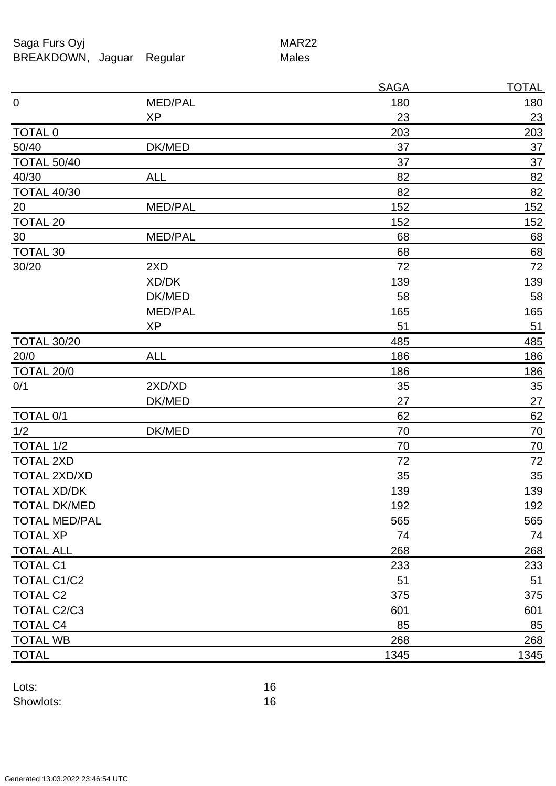Saga Furs Oyj and the Saga Furs Oyj BREAKDOWN, Jaguar Regular Males

|                      |                | <b>SAGA</b> | <u>TOTAL</u> |
|----------------------|----------------|-------------|--------------|
| $\boldsymbol{0}$     | MED/PAL        | 180         | 180          |
|                      | <b>XP</b>      | 23          | 23           |
| TOTAL 0              |                | 203         | 203          |
| 50/40                | DK/MED         | 37          | 37           |
| <b>TOTAL 50/40</b>   |                | 37          | 37           |
| 40/30                | <b>ALL</b>     | 82          | 82           |
| <b>TOTAL 40/30</b>   |                | 82          | 82           |
| $\overline{20}$      | MED/PAL        | 152         | 152          |
| <b>TOTAL 20</b>      |                | 152         | 152          |
| 30                   | MED/PAL        | 68          | 68           |
| <b>TOTAL 30</b>      |                | 68          | 68           |
| 30/20                | 2XD            | 72          | 72           |
|                      | XD/DK          | 139         | 139          |
|                      | DK/MED         | 58          | 58           |
|                      | <b>MED/PAL</b> | 165         | 165          |
|                      | <b>XP</b>      | 51          | 51           |
| <b>TOTAL 30/20</b>   |                | 485         | 485          |
| 20/0                 | <b>ALL</b>     | 186         | 186          |
| TOTAL 20/0           |                | 186         | 186          |
| 0/1                  | 2XD/XD         | 35          | 35           |
|                      | DK/MED         | 27          | 27           |
| TOTAL 0/1            |                | 62          | 62           |
| 1/2                  | DK/MED         | 70          | 70           |
| TOTAL 1/2            |                | 70          | 70           |
| <b>TOTAL 2XD</b>     |                | 72          | 72           |
| TOTAL 2XD/XD         |                | 35          | 35           |
| <b>TOTAL XD/DK</b>   |                | 139         | 139          |
| TOTAL DK/MED         |                | 192         | 192          |
| <b>TOTAL MED/PAL</b> |                | 565         | 565          |
| <b>TOTAL XP</b>      |                | 74          | 74           |
| <b>TOTAL ALL</b>     |                | 268         | 268          |
| <b>TOTAL C1</b>      |                | 233         | 233          |
| <b>TOTAL C1/C2</b>   |                | 51          | 51           |
| <b>TOTAL C2</b>      |                | 375         | 375          |
| <b>TOTAL C2/C3</b>   |                | 601         | 601          |
| <b>TOTAL C4</b>      |                | 85          | 85           |
| <b>TOTAL WB</b>      |                | 268         | 268          |
| <b>TOTAL</b>         |                | 1345        | 1345         |

Lots: 16 Showlots: 16